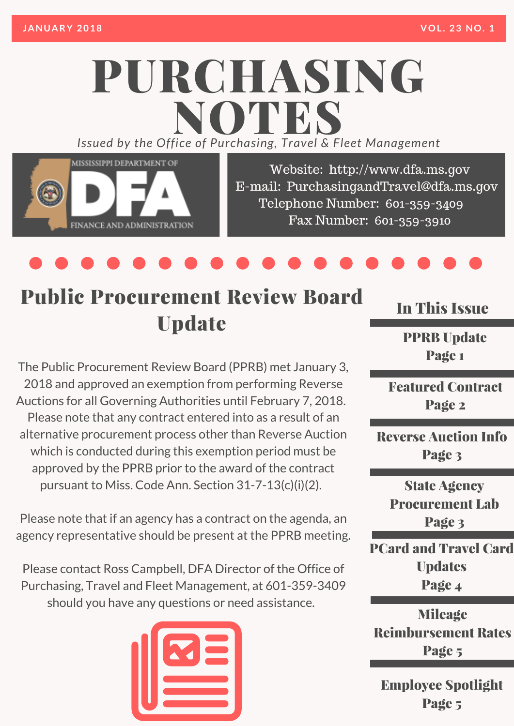# PURCHASING *Issued by the Off ice of Purcha sing, T ravel & Fleet Management* NOTES



Website: http://www.dfa.ms.gov E-mail: [PurchasingandTravel@dfa.ms.gov](http://www.dfa.ms.gov/) Telephone Number: 601-359-3409 Fax Number: 601-359-3910

### Public Procurement Review Board Update

The Public Procurement Review Board (PPRB) met January 3, 2018 and approved an exemption from performing Reverse Auctions for all Governing Authorities until February 7, 2018. Please note that any contract entered into as a result of an alternative procurement process other than Reverse Auction which is conducted during this exemption period must be approved by the PPRB prior to the award of the contract pursuant to Miss. Code Ann. Section 31-7-13(c)(i)(2).

Please note that if an agency has a contract on the agenda, an agency representative should be present at the PPRB meeting.

Please contact Ross Campbell, DFA Director of the Office of Purchasing, Travel and Fleet Management, at 601-359-3409 should you have any questions or need assistance.



In This Issue

PPRB Update Page 1

Featured Contract Page 2

Reverse Auction Info Page 3

State Agency Procurement Lab Page 3

PCard and Travel Card **Updates** Page 4

Mileage Reimbursement Rates Page 5

Employee Spotlight Page 5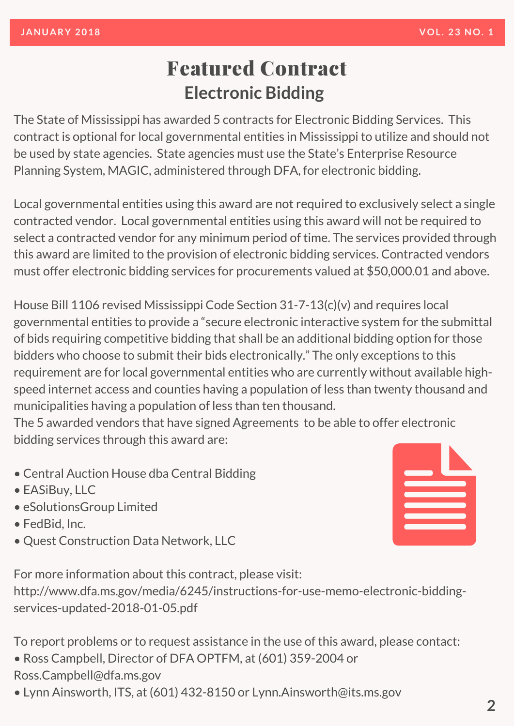#### Featured Contract **Electronic Bidding**

The State of Mississippi has awarded 5 contracts for Electronic Bidding Services. This contract is optional for local governmental entities in Mississippi to utilize and should not be used by state agencies. State agencies must use the State's Enterprise Resource Planning System, MAGIC, administered through DFA, for electronic bidding.

Local governmental entities using this award are not required to exclusively select a single contracted vendor. Local governmental entities using this award will not be required to select a contracted vendor for any minimum period of time. The services provided through this award are limited to the provision of electronic bidding services. Contracted vendors must offer electronic bidding services for procurements valued at \$50,000.01 and above.

House Bill 1106 revised Mississippi Code Section 31-7-13(c)(v) and requires local governmental entities to provide a "secure electronic interactive system for the submittal of bids requiring competitive bidding that shall be an additional bidding option for those bidders who choose to submit their bids electronically." The only exceptions to this requirement are for local governmental entities who are currently without available highspeed internet access and counties having a population of less than twenty thousand and municipalities having a population of less than ten thousand.

The 5 awarded vendors that have signed Agreements to be able to offer electronic bidding services through this award are:

- Central Auction House dba Central Bidding
- EASiBuy, LLC
- eSolutionsGroup Limited
- FedBid, Inc.
- Quest Construction Data Network, LLC



For more information about this contract, please visit:

[http://www.dfa.ms.gov/media/6245/instructions-for-use-memo-electronic-bidding](http://www.dfa.ms.gov/media/6245/instructions-for-use-memo-electronic-bidding-services-updated-2018-01-05.pdf)services-updated-2018-01-05.pdf

To report problems or to request assistance in the use of this award, please contact:

- Ross Campbell, Director of DFA OPTFM, at (601) 359-2004 or
- Ross.Campbell@dfa.ms.gov
- Lynn Ainsworth, ITS, at (601) 432-8150 or Lynn.Ainsworth@its.ms.gov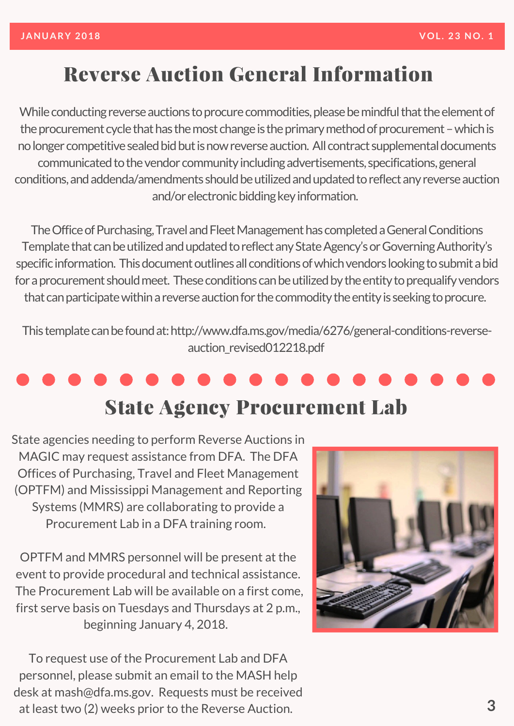### **Reverse Auction General Information**

While conducting reverse auctions to procure commodities, please be mindful that the element of the procurement cycle that has the most change is the primary method of procurement – which is no longer competitive sealed bid but is now reverse auction. All contract supplemental documents communicated to the vendor community including advertisements, specifications, general conditions, and addenda/amendments should be utilized and updated to reflect any reverse auction and/or electronic bidding key information.

The Office of Purchasing, Travel and Fleet Management has completed a General Conditions Template that can be utilized and updated to reflect any State Agency's or Governing Authority's specific information. This document outlines all conditions of which vendors looking to submit a bid for a procurement should meet. These conditions can be utilized by the entity to prequalify vendors that can participate within a reverse auction for the commodity the entity is seeking to procure.

This template can be found at: http://www.dfa.ms.gov/media/6276/general-conditions-reverseauction\_revised012218.pdf

## **State Agency Procurement Lab**

State agencies needing to perform Reverse Auctions in MAGIC may request assistance from DFA. The DFA Offices of Purchasing, Travel and Fleet Management (OPTFM) and Mississippi Management and Reporting Systems (MMRS) are collaborating to provide a Procurement Lab in a DFA training room.

OPTFM and MMRS personnel will be present at the event to provide procedural and technical assistance. The Procurement Lab will be available on a first come, first serve basis on Tuesdays and Thursdays at 2 p.m., beginning January 4, 2018.

To request use of the Procurement Lab and DFA personnel, please submit an email to the MASH help desk at mash@dfa.ms.gov. Requests must be received at least two (2) weeks prior to the Reverse Auction.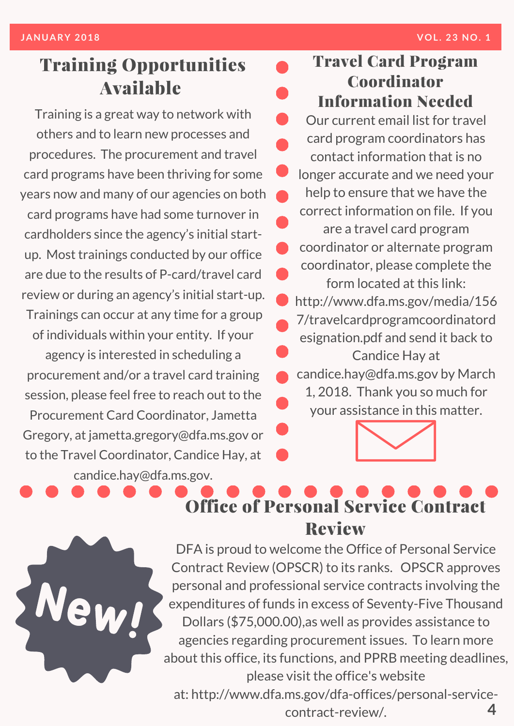#### Training Opportunities Available

Training is a great way to network with others and to learn new processes and procedures. The procurement and travel card programs have been thriving for some years now and many of our agencies on both card programs have had some turnover in cardholders since the agency's initial startup. Most trainings conducted by our office are due to the results of P-card/travel card review or during an agency's initial start-up. Trainings can occur at any time for a group of individuals within your entity. If your agency is interested in scheduling a procurement and/or a travel card training session, please feel free to reach out to the Procurement Card Coordinator, Jametta Gregory, at jametta.gregory@dfa.ms.gov or to the Travel Coordinator, Candice Hay, at candice.hay@dfa.ms.gov.

Travel Card Program Coordinator Information Needed Our current email list for travel card program coordinators has contact information that is no longer accurate and we need your help to ensure that we have the correct information on file. If you are a travel card program coordinator or alternate program coordinator, please complete the form located at this link: http://www.dfa.ms.gov/media/156 7/travelcardprogramcoordinatord esignation.pdf and send it back to Candice Hay at candice.hay@dfa.ms.gov by March 1, 2018. Thank you so much for your assistance in this matter.



### Office of Personal Service Contract Review

DFA is proud to welcome the Office of Personal Service Contract Review (OPSCR) to its ranks. OPSCR approves personal and professional service contracts involving the expenditures of funds in excess of Seventy-Five Thousand Dollars (\$75,000.00),as well as provides assistance to agencies regarding procurement issues. To learn more about this office, its functions, and PPRB meeting deadlines, please visit the office's website

**4** at: [http://www.dfa.ms.gov/dfa-offices/personal-service](http://www.dfa.ms.gov/dfa-offices/personal-service-contract-review/)contract-review/.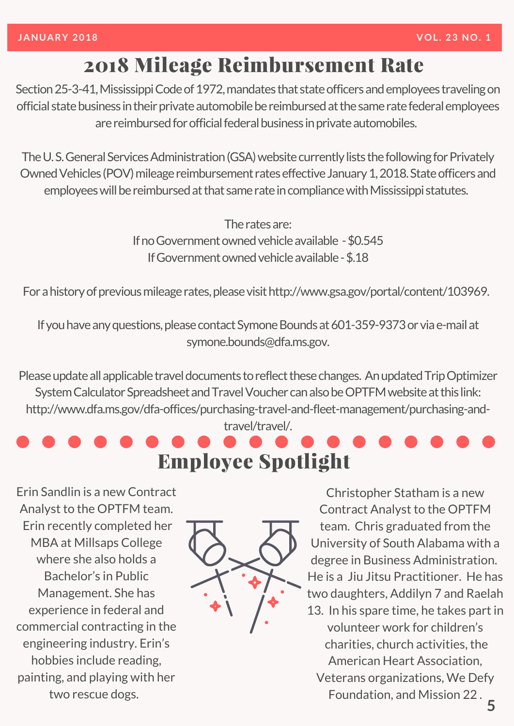#### 2018 Mileage Reimbursement Rate

Section 25-3-41, Mississippi Code of 1972, mandates that state officers and employees traveling on official state business in their private automobile be reimbursed at the same rate federal employees are reimbursed for official federal business in private automobiles.

The U.S. General Services Administration (GSA) website currently lists the following for Privately Owned Vehicles (POV) mileage reimbursement rates effective January 1, 2018. State officers and employees will be reimbursed at that same rate in compliance with Mississippi statutes.

> The rates are: If no Government owned vehicle available - \$0.545 If Government owned vehicle available - \$.18

For a history of previous mileage rates, please visit http://www.gsa.gov/portal/content/103969.

If you have any questions, please contact Symone Bounds at 601-359-9373 or via e-mail at symone.bounds@dfa.ms.gov.

Please update all applicable travel documents to reflect these changes. An updated Trip Optimizer System Calculator Spreadsheet and Travel Voucher can also be OPTFM website at this link: http://www.dfa.ms.gov/dfa-offices/purchasing-travel-and-fleet-management/purchasing-and-

travel/travel/.

Employee Spotlight

Erin Sandlin is a new Contract Analyst to the OPTFM team. Erin recently completed her MBA at Millsaps College where she also holds a Bachelor's in Public Management. She has experience in federal and commercial contracting in the engineering industry. Erin's hobbies include reading, painting, and playing with her two rescue dogs.



Christopher Statham is a new Contract Analyst to the OPTFM team. Chris graduated from the University of South Alabama with a degree in Business Administration. He is a Jiu Jitsu Practitioner. He has two daughters, Addilyn 7 and Raelah 13. In his spare time, he takes part in volunteer work for children's charities, church activities, the American Heart Association, Veterans organizations, We Defy Foundation, and Mission 22 .